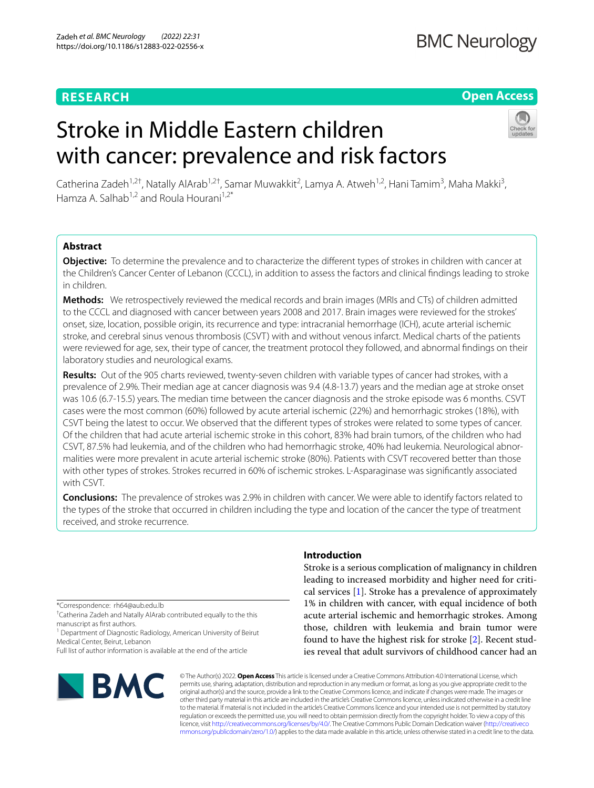# **RESEARCH**

## **Open Access**

# Stroke in Middle Eastern children with cancer: prevalence and risk factors



Catherina Zadeh<sup>1,2†</sup>, Natally AlArab<sup>1,2†</sup>, Samar Muwakkit<sup>2</sup>, Lamya A. Atweh<sup>1,2</sup>, Hani Tamim<sup>3</sup>, Maha Makki<sup>3</sup>, Hamza A. Salhab<sup>1,2</sup> and Roula Hourani<sup>1,2\*</sup>

## **Abstract**

**Objective:** To determine the prevalence and to characterize the diferent types of strokes in children with cancer at the Children's Cancer Center of Lebanon (CCCL), in addition to assess the factors and clinical fndings leading to stroke in children.

**Methods:** We retrospectively reviewed the medical records and brain images (MRIs and CTs) of children admitted to the CCCL and diagnosed with cancer between years 2008 and 2017. Brain images were reviewed for the strokes' onset, size, location, possible origin, its recurrence and type: intracranial hemorrhage (ICH), acute arterial ischemic stroke, and cerebral sinus venous thrombosis (CSVT) with and without venous infarct. Medical charts of the patients were reviewed for age, sex, their type of cancer, the treatment protocol they followed, and abnormal fndings on their laboratory studies and neurological exams.

**Results:** Out of the 905 charts reviewed, twenty-seven children with variable types of cancer had strokes, with a prevalence of 2.9%. Their median age at cancer diagnosis was 9.4 (4.8-13.7) years and the median age at stroke onset was 10.6 (6.7-15.5) years. The median time between the cancer diagnosis and the stroke episode was 6 months. CSVT cases were the most common (60%) followed by acute arterial ischemic (22%) and hemorrhagic strokes (18%), with CSVT being the latest to occur. We observed that the diferent types of strokes were related to some types of cancer. Of the children that had acute arterial ischemic stroke in this cohort, 83% had brain tumors, of the children who had CSVT, 87.5% had leukemia, and of the children who had hemorrhagic stroke, 40% had leukemia. Neurological abnormalities were more prevalent in acute arterial ischemic stroke (80%). Patients with CSVT recovered better than those with other types of strokes. Strokes recurred in 60% of ischemic strokes. L-Asparaginase was signifcantly associated with CSVT.

**Conclusions:** The prevalence of strokes was 2.9% in children with cancer. We were able to identify factors related to the types of the stroke that occurred in children including the type and location of the cancer the type of treatment received, and stroke recurrence.

\*Correspondence: rh64@aub.edu.lb

† Catherina Zadeh and Natally AlArab contributed equally to the this manuscript as frst authors.

<sup>1</sup> Department of Diagnostic Radiology, American University of Beirut Medical Center, Beirut, Lebanon

Full list of author information is available at the end of the article



## **Introduction**

Stroke is a serious complication of malignancy in children leading to increased morbidity and higher need for critical services [\[1](#page-5-0)]. Stroke has a prevalence of approximately 1% in children with cancer, with equal incidence of both acute arterial ischemic and hemorrhagic strokes. Among those, children with leukemia and brain tumor were found to have the highest risk for stroke [[2\]](#page-5-1). Recent studies reveal that adult survivors of childhood cancer had an

© The Author(s) 2022. **Open Access** This article is licensed under a Creative Commons Attribution 4.0 International License, which permits use, sharing, adaptation, distribution and reproduction in any medium or format, as long as you give appropriate credit to the original author(s) and the source, provide a link to the Creative Commons licence, and indicate if changes were made. The images or other third party material in this article are included in the article's Creative Commons licence, unless indicated otherwise in a credit line to the material. If material is not included in the article's Creative Commons licence and your intended use is not permitted by statutory regulation or exceeds the permitted use, you will need to obtain permission directly from the copyright holder. To view a copy of this licence, visit [http://creativecommons.org/licenses/by/4.0/.](http://creativecommons.org/licenses/by/4.0/) The Creative Commons Public Domain Dedication waiver ([http://creativeco](http://creativecommons.org/publicdomain/zero/1.0/) [mmons.org/publicdomain/zero/1.0/](http://creativecommons.org/publicdomain/zero/1.0/)) applies to the data made available in this article, unless otherwise stated in a credit line to the data.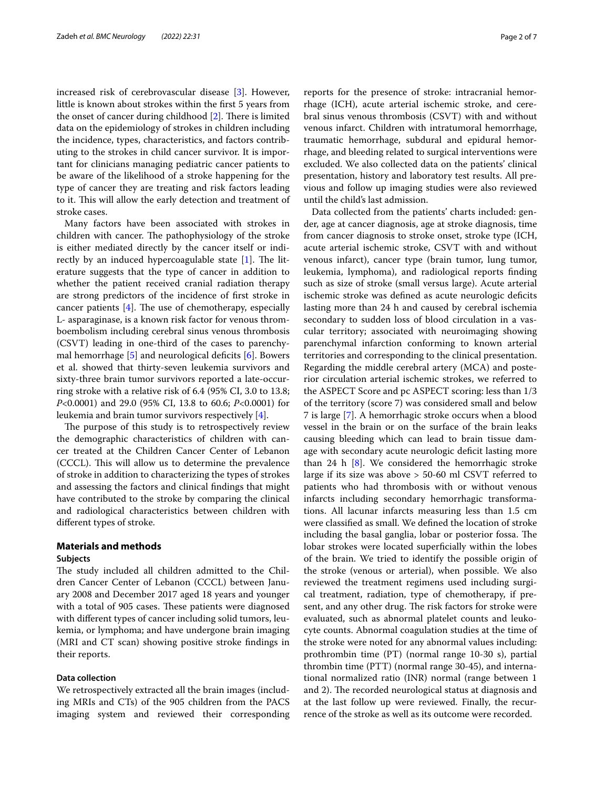increased risk of cerebrovascular disease [\[3](#page-5-2)]. However, little is known about strokes within the frst 5 years from the onset of cancer during childhood  $[2]$  $[2]$ . There is limited data on the epidemiology of strokes in children including the incidence, types, characteristics, and factors contributing to the strokes in child cancer survivor. It is important for clinicians managing pediatric cancer patients to be aware of the likelihood of a stroke happening for the type of cancer they are treating and risk factors leading to it. This will allow the early detection and treatment of stroke cases.

Many factors have been associated with strokes in children with cancer. The pathophysiology of the stroke is either mediated directly by the cancer itself or indirectly by an induced hypercoagulable state  $[1]$  $[1]$ . The literature suggests that the type of cancer in addition to whether the patient received cranial radiation therapy are strong predictors of the incidence of frst stroke in cancer patients  $[4]$  $[4]$ . The use of chemotherapy, especially L- asparaginase, is a known risk factor for venous thromboembolism including cerebral sinus venous thrombosis (CSVT) leading in one-third of the cases to parenchymal hemorrhage  $[5]$  $[5]$  and neurological deficits  $[6]$  $[6]$ . Bowers et al. showed that thirty-seven leukemia survivors and sixty-three brain tumor survivors reported a late-occurring stroke with a relative risk of 6.4 (95% CI, 3.0 to 13.8; *P*<0.0001) and 29.0 (95% CI, 13.8 to 60.6; *P*<0.0001) for leukemia and brain tumor survivors respectively [\[4](#page-5-3)].

The purpose of this study is to retrospectively review the demographic characteristics of children with cancer treated at the Children Cancer Center of Lebanon (CCCL). This will allow us to determine the prevalence of stroke in addition to characterizing the types of strokes and assessing the factors and clinical fndings that might have contributed to the stroke by comparing the clinical and radiological characteristics between children with diferent types of stroke.

## **Materials and methods**

#### **Subjects**

The study included all children admitted to the Children Cancer Center of Lebanon (CCCL) between January 2008 and December 2017 aged 18 years and younger with a total of 905 cases. These patients were diagnosed with diferent types of cancer including solid tumors, leukemia, or lymphoma; and have undergone brain imaging (MRI and CT scan) showing positive stroke fndings in their reports.

## **Data collection**

We retrospectively extracted all the brain images (including MRIs and CTs) of the 905 children from the PACS imaging system and reviewed their corresponding reports for the presence of stroke: intracranial hemorrhage (ICH), acute arterial ischemic stroke, and cerebral sinus venous thrombosis (CSVT) with and without venous infarct. Children with intratumoral hemorrhage, traumatic hemorrhage, subdural and epidural hemorrhage, and bleeding related to surgical interventions were excluded. We also collected data on the patients' clinical presentation, history and laboratory test results. All previous and follow up imaging studies were also reviewed until the child's last admission.

Data collected from the patients' charts included: gender, age at cancer diagnosis, age at stroke diagnosis, time from cancer diagnosis to stroke onset, stroke type (ICH, acute arterial ischemic stroke, CSVT with and without venous infarct), cancer type (brain tumor, lung tumor, leukemia, lymphoma), and radiological reports fnding such as size of stroke (small versus large). Acute arterial ischemic stroke was defned as acute neurologic defcits lasting more than 24 h and caused by cerebral ischemia secondary to sudden loss of blood circulation in a vascular territory; associated with neuroimaging showing parenchymal infarction conforming to known arterial territories and corresponding to the clinical presentation. Regarding the middle cerebral artery (MCA) and posterior circulation arterial ischemic strokes, we referred to the ASPECT Score and pc ASPECT scoring: less than 1/3 of the territory (score 7) was considered small and below 7 is large [\[7](#page-5-6)]. A hemorrhagic stroke occurs when a blood vessel in the brain or on the surface of the brain leaks causing bleeding which can lead to brain tissue damage with secondary acute neurologic deficit lasting more than 24  $h$  [[8\]](#page-5-7). We considered the hemorrhagic stroke large if its size was above > 50-60 ml CSVT referred to patients who had thrombosis with or without venous infarcts including secondary hemorrhagic transformations. All lacunar infarcts measuring less than 1.5 cm were classifed as small. We defned the location of stroke including the basal ganglia, lobar or posterior fossa. The lobar strokes were located superficially within the lobes of the brain. We tried to identify the possible origin of the stroke (venous or arterial), when possible. We also reviewed the treatment regimens used including surgical treatment, radiation, type of chemotherapy, if present, and any other drug. The risk factors for stroke were evaluated, such as abnormal platelet counts and leukocyte counts. Abnormal coagulation studies at the time of the stroke were noted for any abnormal values including: prothrombin time (PT) (normal range 10-30 s), partial thrombin time (PTT) (normal range 30-45), and international normalized ratio (INR) normal (range between 1 and 2). The recorded neurological status at diagnosis and at the last follow up were reviewed. Finally, the recurrence of the stroke as well as its outcome were recorded.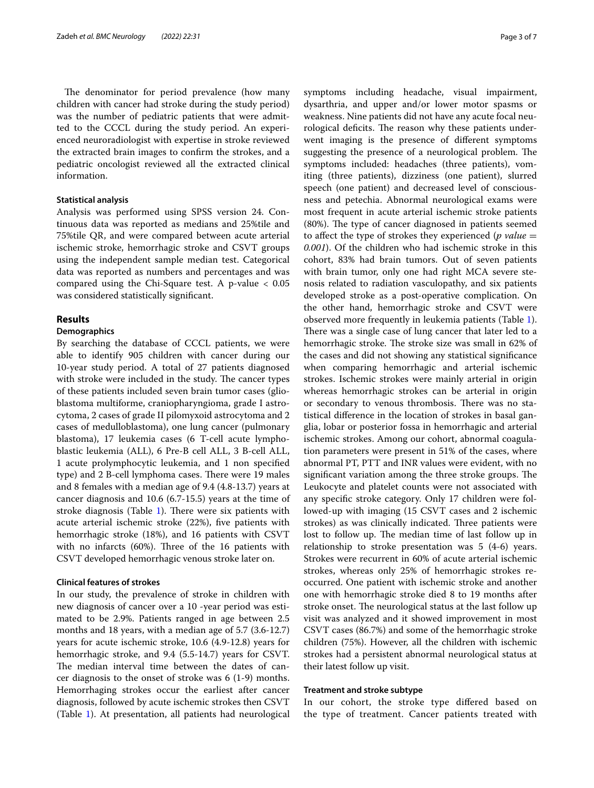The denominator for period prevalence (how many children with cancer had stroke during the study period) was the number of pediatric patients that were admitted to the CCCL during the study period. An experienced neuroradiologist with expertise in stroke reviewed the extracted brain images to confrm the strokes, and a pediatric oncologist reviewed all the extracted clinical information.

## **Statistical analysis**

Analysis was performed using SPSS version 24. Continuous data was reported as medians and 25%tile and 75%tile QR, and were compared between acute arterial ischemic stroke, hemorrhagic stroke and CSVT groups using the independent sample median test. Categorical data was reported as numbers and percentages and was compared using the Chi-Square test. A p-value < 0.05 was considered statistically signifcant.

## **Results**

#### **Demographics**

By searching the database of CCCL patients, we were able to identify 905 children with cancer during our 10-year study period. A total of 27 patients diagnosed with stroke were included in the study. The cancer types of these patients included seven brain tumor cases (glioblastoma multiforme, craniopharyngioma, grade I astrocytoma, 2 cases of grade II pilomyxoid astrocytoma and 2 cases of medulloblastoma), one lung cancer (pulmonary blastoma), 17 leukemia cases (6 T-cell acute lymphoblastic leukemia (ALL), 6 Pre-B cell ALL, 3 B-cell ALL, 1 acute prolymphocytic leukemia, and 1 non specifed type) and 2 B-cell lymphoma cases. There were 19 males and 8 females with a median age of 9.4 (4.8-13.7) years at cancer diagnosis and 10.6 (6.7-15.5) years at the time of stroke diagnosis (Table  $1$ ). There were six patients with acute arterial ischemic stroke (22%), fve patients with hemorrhagic stroke (18%), and 16 patients with CSVT with no infarcts  $(60%)$ . Three of the 16 patients with CSVT developed hemorrhagic venous stroke later on.

## **Clinical features of strokes**

In our study, the prevalence of stroke in children with new diagnosis of cancer over a 10 -year period was estimated to be 2.9%. Patients ranged in age between 2.5 months and 18 years, with a median age of 5.7 (3.6-12.7) years for acute ischemic stroke, 10.6 (4.9-12.8) years for hemorrhagic stroke, and 9.4 (5.5-14.7) years for CSVT. The median interval time between the dates of cancer diagnosis to the onset of stroke was 6 (1-9) months. Hemorrhaging strokes occur the earliest after cancer diagnosis, followed by acute ischemic strokes then CSVT (Table [1\)](#page-3-0). At presentation, all patients had neurological symptoms including headache, visual impairment, dysarthria, and upper and/or lower motor spasms or weakness. Nine patients did not have any acute focal neurological deficits. The reason why these patients underwent imaging is the presence of diferent symptoms suggesting the presence of a neurological problem. The symptoms included: headaches (three patients), vomiting (three patients), dizziness (one patient), slurred speech (one patient) and decreased level of consciousness and petechia. Abnormal neurological exams were most frequent in acute arterial ischemic stroke patients (80%). The type of cancer diagnosed in patients seemed to afect the type of strokes they experienced (*p value* = *0.001*). Of the children who had ischemic stroke in this cohort, 83% had brain tumors. Out of seven patients with brain tumor, only one had right MCA severe stenosis related to radiation vasculopathy, and six patients developed stroke as a post-operative complication. On the other hand, hemorrhagic stroke and CSVT were observed more frequently in leukemia patients (Table [1](#page-3-0)). There was a single case of lung cancer that later led to a hemorrhagic stroke. The stroke size was small in 62% of the cases and did not showing any statistical signifcance when comparing hemorrhagic and arterial ischemic strokes. Ischemic strokes were mainly arterial in origin whereas hemorrhagic strokes can be arterial in origin or secondary to venous thrombosis. There was no statistical diference in the location of strokes in basal ganglia, lobar or posterior fossa in hemorrhagic and arterial ischemic strokes. Among our cohort, abnormal coagulation parameters were present in 51% of the cases, where abnormal PT, PTT and INR values were evident, with no significant variation among the three stroke groups. The Leukocyte and platelet counts were not associated with any specifc stroke category. Only 17 children were followed-up with imaging (15 CSVT cases and 2 ischemic strokes) as was clinically indicated. Three patients were lost to follow up. The median time of last follow up in relationship to stroke presentation was 5 (4-6) years. Strokes were recurrent in 60% of acute arterial ischemic strokes, whereas only 25% of hemorrhagic strokes reoccurred. One patient with ischemic stroke and another one with hemorrhagic stroke died 8 to 19 months after stroke onset. The neurological status at the last follow up visit was analyzed and it showed improvement in most CSVT cases (86.7%) and some of the hemorrhagic stroke children (75%). However, all the children with ischemic strokes had a persistent abnormal neurological status at their latest follow up visit.

#### **Treatment and stroke subtype**

In our cohort, the stroke type difered based on the type of treatment. Cancer patients treated with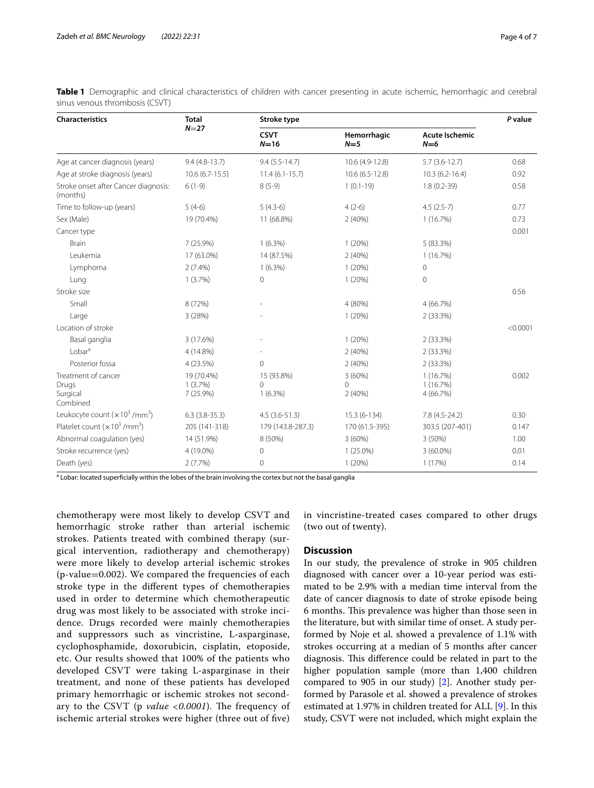| <b>Characteristics</b>                               | <b>Total</b><br>$N=27$                | Stroke type                   |                       |                                  | P value  |
|------------------------------------------------------|---------------------------------------|-------------------------------|-----------------------|----------------------------------|----------|
|                                                      |                                       | <b>CSVT</b><br>$N=16$         | Hemorrhagic<br>$N=5$  | <b>Acute Ischemic</b><br>$N=6$   |          |
| Age at cancer diagnosis (years)                      | $9.4(4.8-13.7)$                       | $9.4(5.5-14.7)$               | 10.6 (4.9-12.8)       | $5.7(3.6-12.7)$                  | 0.68     |
| Age at stroke diagnosis (years)                      | $10.6(6.7-15.5)$                      | $11.4(6.1-15.7)$              | 10.6 (6.5-12.8)       | $10.3(6.2 - 16.4)$               | 0.92     |
| Stroke onset after Cancer diagnosis:<br>(months)     | $6(1-9)$                              | $8(5-9)$                      | $1(0.1-19)$           | $1.8(0.2-39)$                    | 0.58     |
| Time to follow-up (years)                            | $5(4-6)$                              | $5(4.3-6)$                    | $4(2-6)$              | $4.5(2.5-7)$                     | 0.77     |
| Sex (Male)                                           | 19 (70.4%)                            | 11 (68.8%)                    | 2(40%)                | 1(16.7%)                         | 0.73     |
| Cancer type                                          |                                       |                               |                       |                                  | 0.001    |
| <b>Brain</b>                                         | 7(25.9%)                              | $1(6.3\%)$                    | 1(20%)                | 5 (83.3%)                        |          |
| Leukemia                                             | 17 (63.0%)                            | 14 (87.5%)                    | 2(40%)                | 1(16.7%)                         |          |
| Lymphoma                                             | $2(7.4\%)$                            | $1(6.3\%)$                    | 1(20%)                | $\mathbf 0$                      |          |
| Lung                                                 | 1(3.7%)                               | $\mathbf{0}$                  | 1(20%)                | $\circ$                          |          |
| Stroke size                                          |                                       |                               |                       |                                  | 0.56     |
| Small                                                | 8 (72%)                               |                               | 4 (80%)               | 4(66.7%)                         |          |
| Large                                                | 3(28%)                                |                               | 1(20%)                | 2(33.3%)                         |          |
| Location of stroke                                   |                                       |                               |                       |                                  | < 0.0001 |
| Basal ganglia                                        | 3 (17.6%)                             |                               | 1(20%)                | 2 (33.3%)                        |          |
| $1$ obar <sup>a</sup>                                | 4 (14.8%)                             |                               | 2(40%)                | 2(33.3%)                         |          |
| Posterior fossa                                      | 4 (23.5%)                             | $\Omega$                      | 2(40%)                | 2(33.3%)                         |          |
| Treatment of cancer<br>Drugs<br>Surgical<br>Combined | 19 (70.4%)<br>$1(3.7\%)$<br>7 (25.9%) | 15 (93.8%)<br>0<br>$1(6.3\%)$ | 3(60%)<br>0<br>2(40%) | 1(16.7%)<br>1(16.7%)<br>4(66.7%) | 0.002    |
| Leukocyte count $(x 10^3 / \text{mm}^3)$             | $6.3(3.8-35.3)$                       | $4.5(3.6-51.3)$               | 15.3 (6-134)          | 7.8 (4.5-24.2)                   | 0.30     |
| Platelet count $(x 10^3 / mm^3)$                     | 205 (141-318)                         | 179 (143.8-287.3)             | 170 (61.5-395)        | 303.5 (207-401)                  | 0.147    |
| Abnormal coagulation (yes)                           | 14 (51.9%)                            | 8 (50%)                       | 3(60%)                | $3(50\%)$                        | 1.00     |
| Stroke recurrence (yes)                              | 4 (19.0%)                             | 0                             | $1(25.0\%)$           | $3(60.0\%)$                      | 0.01     |
| Death (yes)                                          | 2(7.7%)                               | 0                             | 1(20%)                | 1(17%)                           | 0.14     |

<span id="page-3-0"></span>**Table 1** Demographic and clinical characteristics of children with cancer presenting in acute ischemic, hemorrhagic and cerebral sinus venous thrombosis (CSVT)

<sup>a</sup> Lobar: located superficially within the lobes of the brain involving the cortex but not the basal ganglia

chemotherapy were most likely to develop CSVT and hemorrhagic stroke rather than arterial ischemic strokes. Patients treated with combined therapy (surgical intervention, radiotherapy and chemotherapy) were more likely to develop arterial ischemic strokes (p-value=0.002). We compared the frequencies of each stroke type in the diferent types of chemotherapies used in order to determine which chemotherapeutic drug was most likely to be associated with stroke incidence. Drugs recorded were mainly chemotherapies and suppressors such as vincristine, L-asparginase, cyclophosphamide, doxorubicin, cisplatin, etoposide, etc. Our results showed that 100% of the patients who developed CSVT were taking L-asparginase in their treatment, and none of these patients has developed primary hemorrhagic or ischemic strokes not secondary to the CSVT (p *value* <0.0001). The frequency of ischemic arterial strokes were higher (three out of fve) in vincristine-treated cases compared to other drugs (two out of twenty).

#### **Discussion**

In our study, the prevalence of stroke in 905 children diagnosed with cancer over a 10-year period was estimated to be 2.9% with a median time interval from the date of cancer diagnosis to date of stroke episode being 6 months. This prevalence was higher than those seen in the literature, but with similar time of onset. A study performed by Noje et al. showed a prevalence of 1.1% with strokes occurring at a median of 5 months after cancer diagnosis. This difference could be related in part to the higher population sample (more than 1,400 children compared to 905 in our study) [\[2](#page-5-1)]. Another study performed by Parasole et al. showed a prevalence of strokes estimated at 1.97% in children treated for ALL [[9](#page-5-8)]. In this study, CSVT were not included, which might explain the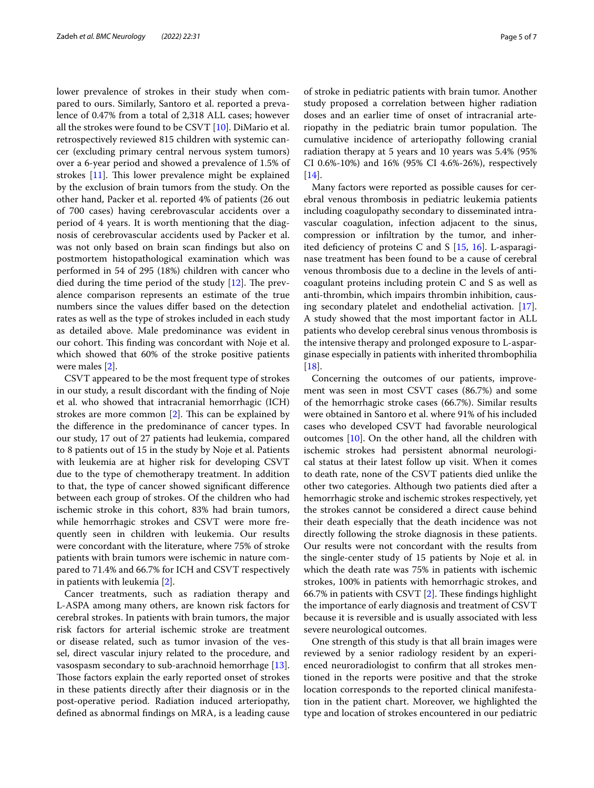lower prevalence of strokes in their study when compared to ours. Similarly, Santoro et al. reported a prevalence of 0.47% from a total of 2,318 ALL cases; however all the strokes were found to be CSVT [[10](#page-5-9)]. DiMario et al. retrospectively reviewed 815 children with systemic cancer (excluding primary central nervous system tumors) over a 6-year period and showed a prevalence of 1.5% of strokes  $[11]$ . This lower prevalence might be explained by the exclusion of brain tumors from the study. On the other hand, Packer et al. reported 4% of patients (26 out of 700 cases) having cerebrovascular accidents over a period of 4 years. It is worth mentioning that the diagnosis of cerebrovascular accidents used by Packer et al. was not only based on brain scan fndings but also on postmortem histopathological examination which was performed in 54 of 295 (18%) children with cancer who died during the time period of the study  $[12]$  $[12]$ . The prevalence comparison represents an estimate of the true numbers since the values difer based on the detection rates as well as the type of strokes included in each study as detailed above. Male predominance was evident in our cohort. This finding was concordant with Noje et al. which showed that 60% of the stroke positive patients were males [[2\]](#page-5-1).

CSVT appeared to be the most frequent type of strokes in our study, a result discordant with the fnding of Noje et al. who showed that intracranial hemorrhagic (ICH) strokes are more common  $[2]$  $[2]$ . This can be explained by the diference in the predominance of cancer types. In our study, 17 out of 27 patients had leukemia, compared to 8 patients out of 15 in the study by Noje et al. Patients with leukemia are at higher risk for developing CSVT due to the type of chemotherapy treatment. In addition to that, the type of cancer showed signifcant diference between each group of strokes. Of the children who had ischemic stroke in this cohort, 83% had brain tumors, while hemorrhagic strokes and CSVT were more frequently seen in children with leukemia. Our results were concordant with the literature, where 75% of stroke patients with brain tumors were ischemic in nature compared to 71.4% and 66.7% for ICH and CSVT respectively in patients with leukemia [\[2\]](#page-5-1).

Cancer treatments, such as radiation therapy and L-ASPA among many others, are known risk factors for cerebral strokes. In patients with brain tumors, the major risk factors for arterial ischemic stroke are treatment or disease related, such as tumor invasion of the vessel, direct vascular injury related to the procedure, and vasospasm secondary to sub-arachnoid hemorrhage [\[13](#page-6-2)]. Those factors explain the early reported onset of strokes in these patients directly after their diagnosis or in the post-operative period. Radiation induced arteriopathy, defned as abnormal fndings on MRA, is a leading cause of stroke in pediatric patients with brain tumor. Another study proposed a correlation between higher radiation doses and an earlier time of onset of intracranial arteriopathy in the pediatric brain tumor population. The cumulative incidence of arteriopathy following cranial radiation therapy at 5 years and 10 years was 5.4% (95% CI 0.6%-10%) and 16% (95% CI 4.6%-26%), respectively [[14\]](#page-6-3).

Many factors were reported as possible causes for cerebral venous thrombosis in pediatric leukemia patients including coagulopathy secondary to disseminated intravascular coagulation, infection adjacent to the sinus, compression or infltration by the tumor, and inherited deficiency of proteins C and S  $[15, 16]$  $[15, 16]$  $[15, 16]$  $[15, 16]$  $[15, 16]$ . L-asparaginase treatment has been found to be a cause of cerebral venous thrombosis due to a decline in the levels of anticoagulant proteins including protein C and S as well as anti-thrombin, which impairs thrombin inhibition, causing secondary platelet and endothelial activation. [\[17](#page-6-6)]. A study showed that the most important factor in ALL patients who develop cerebral sinus venous thrombosis is the intensive therapy and prolonged exposure to L-asparginase especially in patients with inherited thrombophilia [[18\]](#page-6-7).

Concerning the outcomes of our patients, improvement was seen in most CSVT cases (86.7%) and some of the hemorrhagic stroke cases (66.7%). Similar results were obtained in Santoro et al. where 91% of his included cases who developed CSVT had favorable neurological outcomes [[10\]](#page-5-9). On the other hand, all the children with ischemic strokes had persistent abnormal neurological status at their latest follow up visit. When it comes to death rate, none of the CSVT patients died unlike the other two categories. Although two patients died after a hemorrhagic stroke and ischemic strokes respectively, yet the strokes cannot be considered a direct cause behind their death especially that the death incidence was not directly following the stroke diagnosis in these patients. Our results were not concordant with the results from the single-center study of 15 patients by Noje et al. in which the death rate was 75% in patients with ischemic strokes, 100% in patients with hemorrhagic strokes, and 66.7% in patients with CSVT  $[2]$  $[2]$ . These findings highlight the importance of early diagnosis and treatment of CSVT because it is reversible and is usually associated with less severe neurological outcomes.

One strength of this study is that all brain images were reviewed by a senior radiology resident by an experienced neuroradiologist to confrm that all strokes mentioned in the reports were positive and that the stroke location corresponds to the reported clinical manifestation in the patient chart. Moreover, we highlighted the type and location of strokes encountered in our pediatric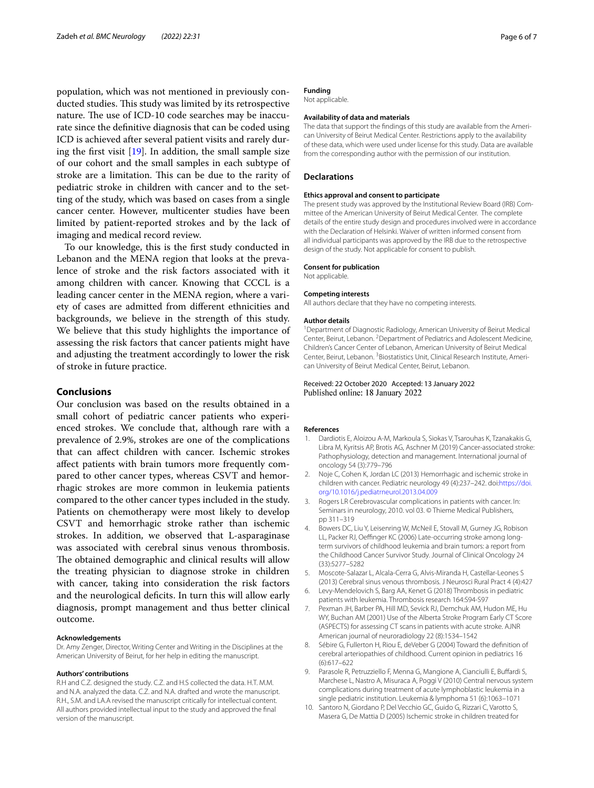population, which was not mentioned in previously conducted studies. This study was limited by its retrospective nature. The use of ICD-10 code searches may be inaccurate since the defnitive diagnosis that can be coded using ICD is achieved after several patient visits and rarely during the frst visit [[19\]](#page-6-8). In addition, the small sample size of our cohort and the small samples in each subtype of stroke are a limitation. This can be due to the rarity of pediatric stroke in children with cancer and to the setting of the study, which was based on cases from a single cancer center. However, multicenter studies have been limited by patient-reported strokes and by the lack of imaging and medical record review.

To our knowledge, this is the frst study conducted in Lebanon and the MENA region that looks at the prevalence of stroke and the risk factors associated with it among children with cancer. Knowing that CCCL is a leading cancer center in the MENA region, where a variety of cases are admitted from diferent ethnicities and backgrounds, we believe in the strength of this study. We believe that this study highlights the importance of assessing the risk factors that cancer patients might have and adjusting the treatment accordingly to lower the risk of stroke in future practice.

## **Conclusions**

Our conclusion was based on the results obtained in a small cohort of pediatric cancer patients who experienced strokes. We conclude that, although rare with a prevalence of 2.9%, strokes are one of the complications that can afect children with cancer. Ischemic strokes afect patients with brain tumors more frequently compared to other cancer types, whereas CSVT and hemorrhagic strokes are more common in leukemia patients compared to the other cancer types included in the study. Patients on chemotherapy were most likely to develop CSVT and hemorrhagic stroke rather than ischemic strokes. In addition, we observed that L-asparaginase was associated with cerebral sinus venous thrombosis. The obtained demographic and clinical results will allow the treating physician to diagnose stroke in children with cancer, taking into consideration the risk factors and the neurological deficits. In turn this will allow early diagnosis, prompt management and thus better clinical outcome.

#### **Acknowledgements**

Dr. Amy Zenger, Director, Writing Center and Writing in the Disciplines at the American University of Beirut, for her help in editing the manuscript.

#### **Authors' contributions**

R.H and C.Z. designed the study. C.Z. and H.S collected the data. H.T. M.M. and N.A. analyzed the data. C.Z. and N.A. drafted and wrote the manuscript. R.H., S.M. and LA.A revised the manuscript critically for intellectual content. All authors provided intellectual input to the study and approved the fnal version of the manuscript.

#### **Funding**

Not applicable.

## **Availability of data and materials**

The data that support the fndings of this study are available from the American University of Beirut Medical Center. Restrictions apply to the availability of these data, which were used under license for this study. Data are available from the corresponding author with the permission of our institution.

#### **Declarations**

#### **Ethics approval and consent to participate**

The present study was approved by the Institutional Review Board (IRB) Committee of the American University of Beirut Medical Center. The complete details of the entire study design and procedures involved were in accordance with the Declaration of Helsinki. Waiver of written informed consent from all individual participants was approved by the IRB due to the retrospective design of the study. Not applicable for consent to publish.

#### **Consent for publication**

Not applicable.

## **Competing interests**

All authors declare that they have no competing interests.

#### **Author details**

<sup>1</sup> Department of Diagnostic Radiology, American University of Beirut Medical Center, Beirut, Lebanon. <sup>2</sup> Department of Pediatrics and Adolescent Medicine, Children's Cancer Center of Lebanon, American University of Beirut Medical Center, Beirut, Lebanon. <sup>3</sup> Biostatistics Unit, Clinical Research Institute, American University of Beirut Medical Center, Beirut, Lebanon.

#### Received: 22 October 2020 Accepted: 13 January 2022 Published online: 18 January 2022

#### **References**

- <span id="page-5-0"></span>1. Dardiotis E, Aloizou A-M, Markoula S, Siokas V, Tsarouhas K, Tzanakakis G, Libra M, Kyritsis AP, Brotis AG, Aschner M (2019) Cancer-associated stroke: Pathophysiology, detection and management. International journal of oncology 54 (3):779–796
- <span id="page-5-1"></span>2. Noje C, Cohen K, Jordan LC (2013) Hemorrhagic and ischemic stroke in children with cancer. Pediatric neurology 49 (4):237–242. doi:[https://doi.](https://doi.org/10.1016/j.pediatrneurol.2013.04.009) [org/10.1016/j.pediatrneurol.2013.04.009](https://doi.org/10.1016/j.pediatrneurol.2013.04.009)
- <span id="page-5-2"></span>Rogers LR Cerebrovascular complications in patients with cancer. In: Seminars in neurology, 2010. vol 03. © Thieme Medical Publishers, pp 311–319
- <span id="page-5-3"></span>4. Bowers DC, Liu Y, Leisenring W, McNeil E, Stovall M, Gurney JG, Robison LL, Packer RJ, Oeffinger KC (2006) Late-occurring stroke among longterm survivors of childhood leukemia and brain tumors: a report from the Childhood Cancer Survivor Study. Journal of Clinical Oncology 24 (33):5277–5282
- <span id="page-5-4"></span>5. Moscote-Salazar L, Alcala-Cerra G, Alvis-Miranda H, Castellar-Leones S (2013) Cerebral sinus venous thrombosis. J Neurosci Rural Pract 4 (4):427
- <span id="page-5-5"></span>6. Levy-Mendelovich S, Barg AA, Kenet G (2018) Thrombosis in pediatric patients with leukemia. Thrombosis research 164:S94-S97
- <span id="page-5-6"></span>7. Pexman JH, Barber PA, Hill MD, Sevick RJ, Demchuk AM, Hudon ME, Hu WY, Buchan AM (2001) Use of the Alberta Stroke Program Early CT Score (ASPECTS) for assessing CT scans in patients with acute stroke. AJNR American journal of neuroradiology 22 (8):1534–1542
- <span id="page-5-7"></span>8. Sébire G, Fullerton H, Riou E, deVeber G (2004) Toward the defnition of cerebral arteriopathies of childhood. Current opinion in pediatrics 16 (6):617–622
- <span id="page-5-8"></span>9. Parasole R, Petruzziello F, Menna G, Mangione A, Cianciulli E, Buffardi S, Marchese L, Nastro A, Misuraca A, Poggi V (2010) Central nervous system complications during treatment of acute lymphoblastic leukemia in a single pediatric institution. Leukemia & lymphoma 51 (6):1063–1071
- <span id="page-5-9"></span>10. Santoro N, Giordano P, Del Vecchio GC, Guido G, Rizzari C, Varotto S, Masera G, De Mattia D (2005) Ischemic stroke in children treated for